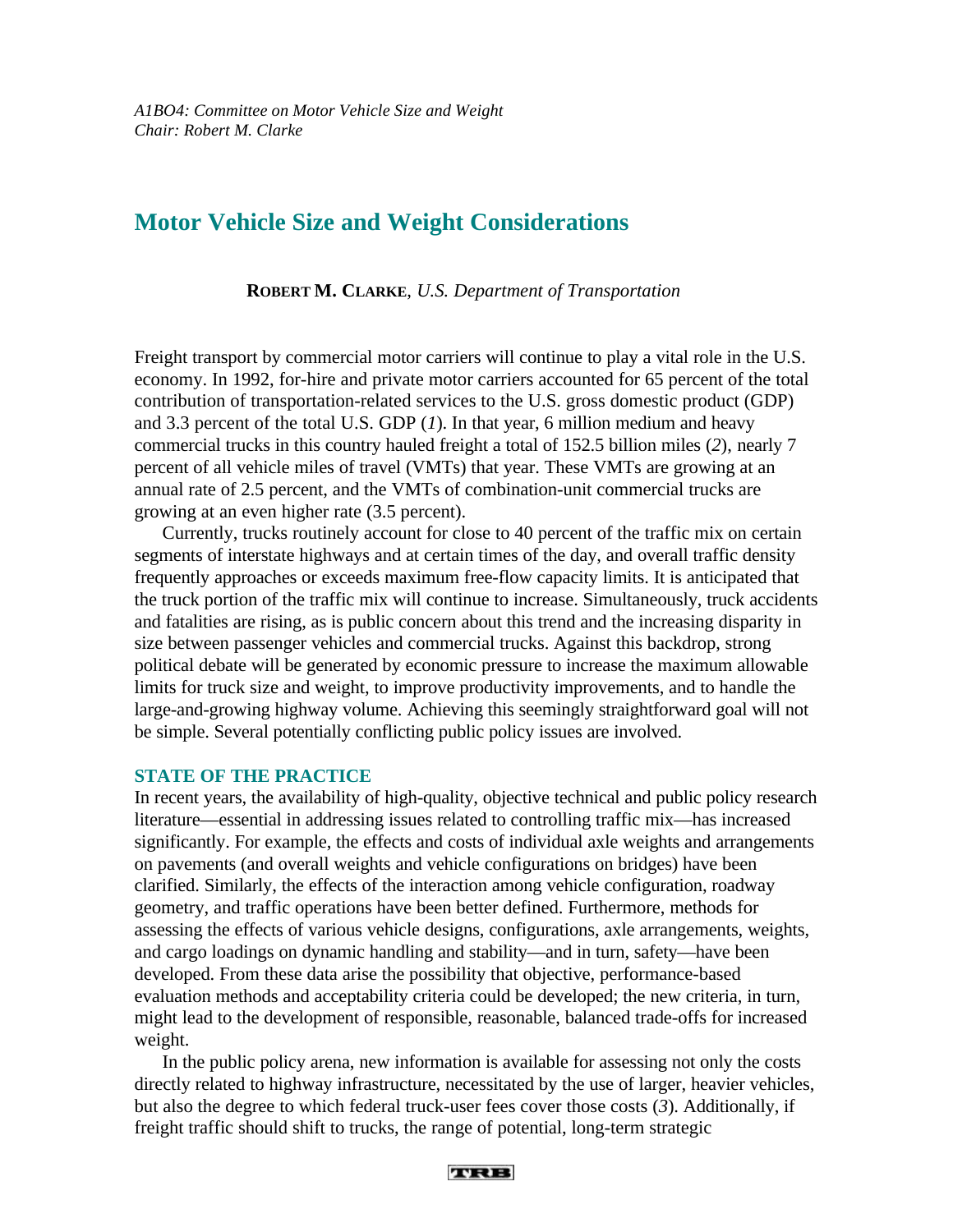# **Motor Vehicle Size and Weight Considerations**

**ROBERT M. CLARKE**, *U.S. Department of Transportation*

Freight transport by commercial motor carriers will continue to play a vital role in the U.S. economy. In 1992, for-hire and private motor carriers accounted for 65 percent of the total contribution of transportation-related services to the U.S. gross domestic product (GDP) and 3.3 percent of the total U.S. GDP (*1*). In that year, 6 million medium and heavy commercial trucks in this country hauled freight a total of 152.5 billion miles (*2*), nearly 7 percent of all vehicle miles of travel (VMTs) that year. These VMTs are growing at an annual rate of 2.5 percent, and the VMTs of combination-unit commercial trucks are growing at an even higher rate (3.5 percent).

Currently, trucks routinely account for close to 40 percent of the traffic mix on certain segments of interstate highways and at certain times of the day, and overall traffic density frequently approaches or exceeds maximum free-flow capacity limits. It is anticipated that the truck portion of the traffic mix will continue to increase. Simultaneously, truck accidents and fatalities are rising, as is public concern about this trend and the increasing disparity in size between passenger vehicles and commercial trucks. Against this backdrop, strong political debate will be generated by economic pressure to increase the maximum allowable limits for truck size and weight, to improve productivity improvements, and to handle the large-and-growing highway volume. Achieving this seemingly straightforward goal will not be simple. Several potentially conflicting public policy issues are involved.

### **STATE OF THE PRACTICE**

In recent years, the availability of high-quality, objective technical and public policy research literature—essential in addressing issues related to controlling traffic mix—has increased significantly. For example, the effects and costs of individual axle weights and arrangements on pavements (and overall weights and vehicle configurations on bridges) have been clarified. Similarly, the effects of the interaction among vehicle configuration, roadway geometry, and traffic operations have been better defined. Furthermore, methods for assessing the effects of various vehicle designs, configurations, axle arrangements, weights, and cargo loadings on dynamic handling and stability—and in turn, safety—have been developed. From these data arise the possibility that objective, performance-based evaluation methods and acceptability criteria could be developed; the new criteria, in turn, might lead to the development of responsible, reasonable, balanced trade-offs for increased weight.

In the public policy arena, new information is available for assessing not only the costs directly related to highway infrastructure, necessitated by the use of larger, heavier vehicles, but also the degree to which federal truck-user fees cover those costs (*3*). Additionally, if freight traffic should shift to trucks, the range of potential, long-term strategic

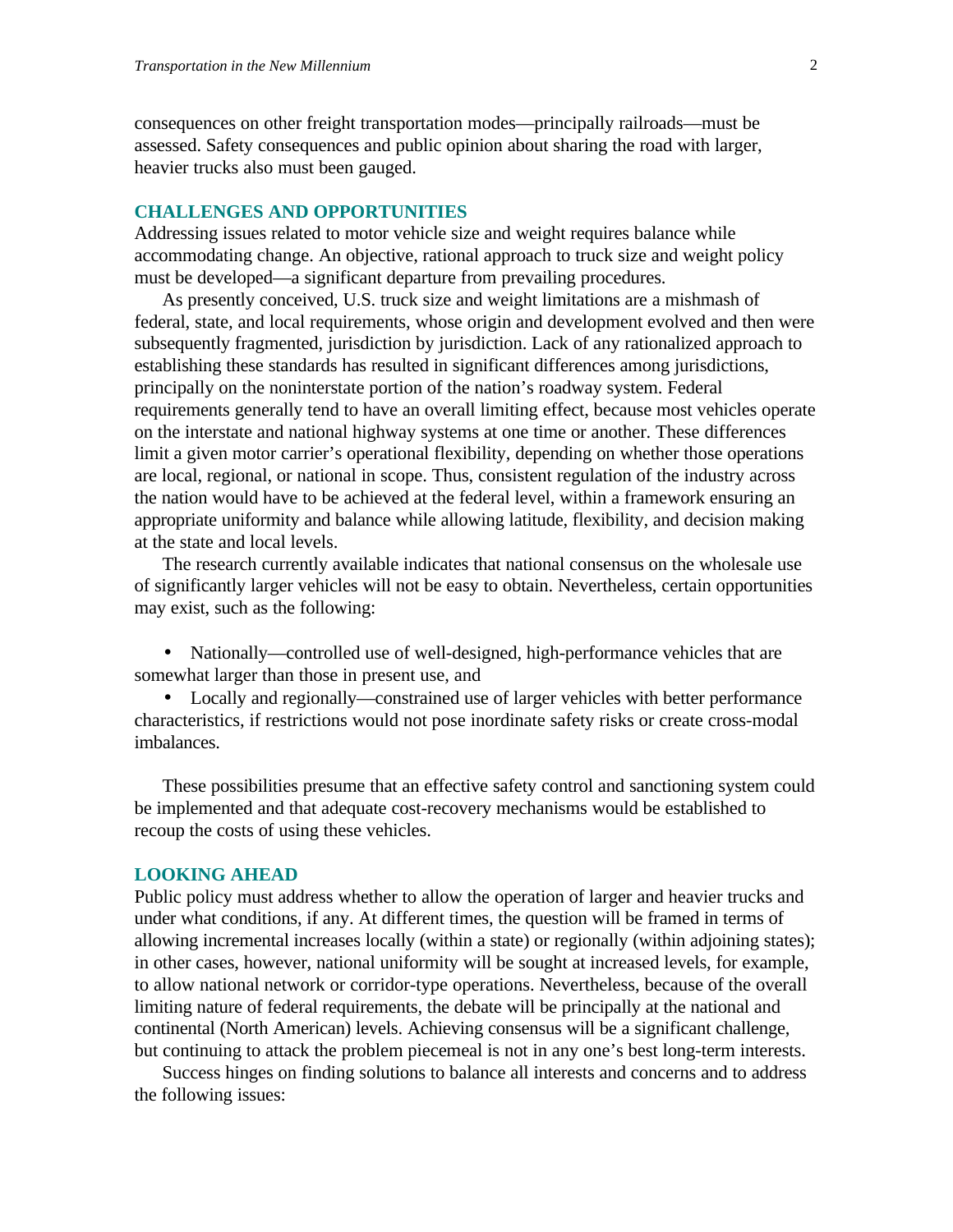consequences on other freight transportation modes—principally railroads—must be assessed. Safety consequences and public opinion about sharing the road with larger, heavier trucks also must been gauged.

## **CHALLENGES AND OPPORTUNITIES**

Addressing issues related to motor vehicle size and weight requires balance while accommodating change. An objective, rational approach to truck size and weight policy must be developed—a significant departure from prevailing procedures.

As presently conceived, U.S. truck size and weight limitations are a mishmash of federal, state, and local requirements, whose origin and development evolved and then were subsequently fragmented, jurisdiction by jurisdiction. Lack of any rationalized approach to establishing these standards has resulted in significant differences among jurisdictions, principally on the noninterstate portion of the nation's roadway system. Federal requirements generally tend to have an overall limiting effect, because most vehicles operate on the interstate and national highway systems at one time or another. These differences limit a given motor carrier's operational flexibility, depending on whether those operations are local, regional, or national in scope. Thus, consistent regulation of the industry across the nation would have to be achieved at the federal level, within a framework ensuring an appropriate uniformity and balance while allowing latitude, flexibility, and decision making at the state and local levels.

The research currently available indicates that national consensus on the wholesale use of significantly larger vehicles will not be easy to obtain. Nevertheless, certain opportunities may exist, such as the following:

• Nationally—controlled use of well-designed, high-performance vehicles that are somewhat larger than those in present use, and

• Locally and regionally—constrained use of larger vehicles with better performance characteristics, if restrictions would not pose inordinate safety risks or create cross-modal imbalances.

These possibilities presume that an effective safety control and sanctioning system could be implemented and that adequate cost-recovery mechanisms would be established to recoup the costs of using these vehicles.

#### **LOOKING AHEAD**

Public policy must address whether to allow the operation of larger and heavier trucks and under what conditions, if any. At different times, the question will be framed in terms of allowing incremental increases locally (within a state) or regionally (within adjoining states); in other cases, however, national uniformity will be sought at increased levels, for example, to allow national network or corridor-type operations. Nevertheless, because of the overall limiting nature of federal requirements, the debate will be principally at the national and continental (North American) levels. Achieving consensus will be a significant challenge, but continuing to attack the problem piecemeal is not in any one's best long-term interests.

Success hinges on finding solutions to balance all interests and concerns and to address the following issues: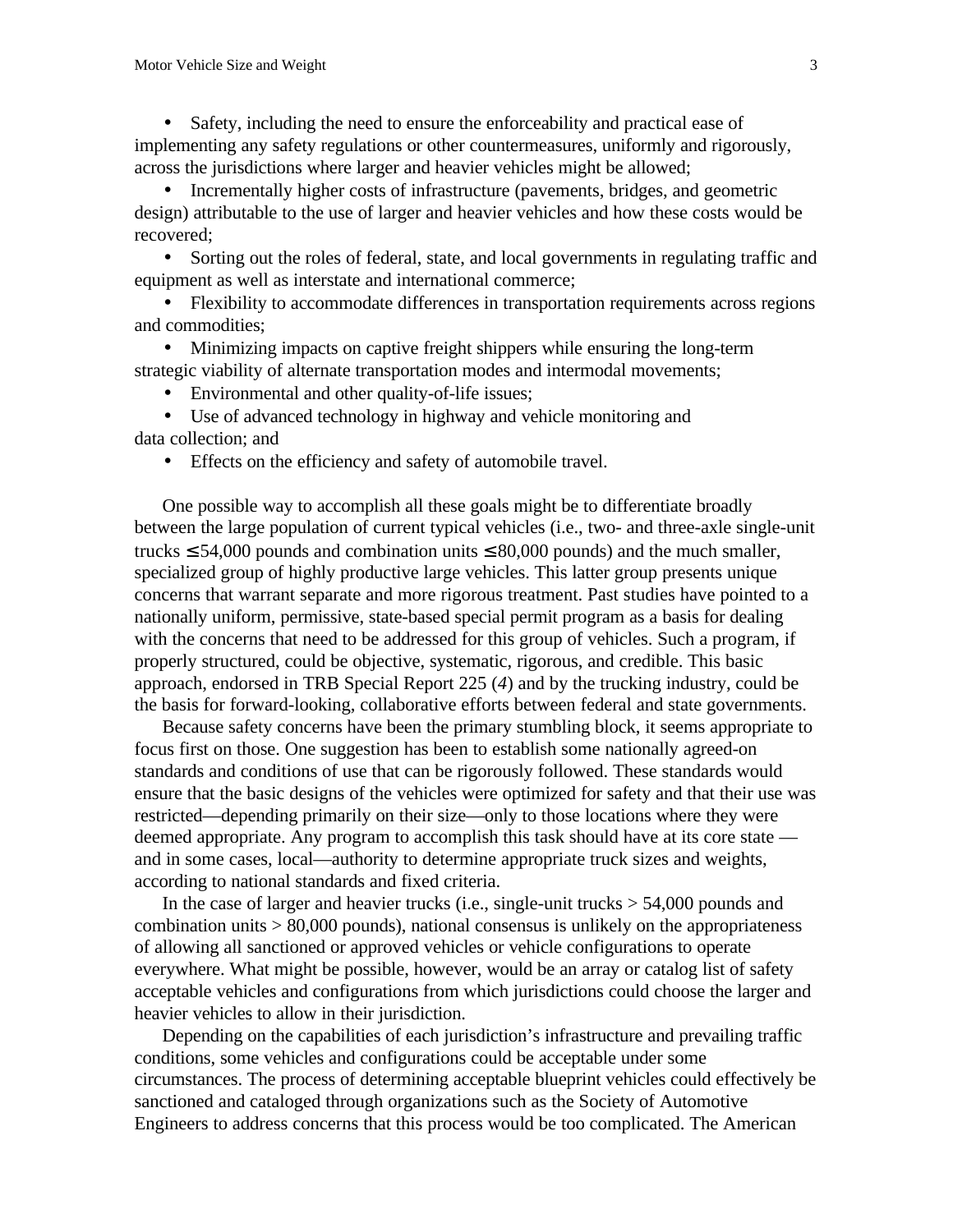• Safety, including the need to ensure the enforceability and practical ease of implementing any safety regulations or other countermeasures, uniformly and rigorously, across the jurisdictions where larger and heavier vehicles might be allowed;

• Incrementally higher costs of infrastructure (pavements, bridges, and geometric design) attributable to the use of larger and heavier vehicles and how these costs would be recovered;

• Sorting out the roles of federal, state, and local governments in regulating traffic and equipment as well as interstate and international commerce;

• Flexibility to accommodate differences in transportation requirements across regions and commodities;

• Minimizing impacts on captive freight shippers while ensuring the long-term strategic viability of alternate transportation modes and intermodal movements;

• Environmental and other quality-of-life issues;

• Use of advanced technology in highway and vehicle monitoring and data collection; and

• Effects on the efficiency and safety of automobile travel.

One possible way to accomplish all these goals might be to differentiate broadly between the large population of current typical vehicles (i.e., two- and three-axle single-unit trucks  $\leq$  54,000 pounds and combination units  $\leq$  80,000 pounds) and the much smaller, specialized group of highly productive large vehicles. This latter group presents unique concerns that warrant separate and more rigorous treatment. Past studies have pointed to a nationally uniform, permissive, state-based special permit program as a basis for dealing with the concerns that need to be addressed for this group of vehicles. Such a program, if properly structured, could be objective, systematic, rigorous, and credible. This basic approach, endorsed in TRB Special Report 225 (*4*) and by the trucking industry, could be the basis for forward-looking, collaborative efforts between federal and state governments.

Because safety concerns have been the primary stumbling block, it seems appropriate to focus first on those. One suggestion has been to establish some nationally agreed-on standards and conditions of use that can be rigorously followed. These standards would ensure that the basic designs of the vehicles were optimized for safety and that their use was restricted—depending primarily on their size—only to those locations where they were deemed appropriate. Any program to accomplish this task should have at its core state and in some cases, local—authority to determine appropriate truck sizes and weights, according to national standards and fixed criteria.

In the case of larger and heavier trucks (i.e., single-unit trucks  $> 54,000$  pounds and combination units > 80,000 pounds), national consensus is unlikely on the appropriateness of allowing all sanctioned or approved vehicles or vehicle configurations to operate everywhere. What might be possible, however, would be an array or catalog list of safety acceptable vehicles and configurations from which jurisdictions could choose the larger and heavier vehicles to allow in their jurisdiction.

Depending on the capabilities of each jurisdiction's infrastructure and prevailing traffic conditions, some vehicles and configurations could be acceptable under some circumstances. The process of determining acceptable blueprint vehicles could effectively be sanctioned and cataloged through organizations such as the Society of Automotive Engineers to address concerns that this process would be too complicated. The American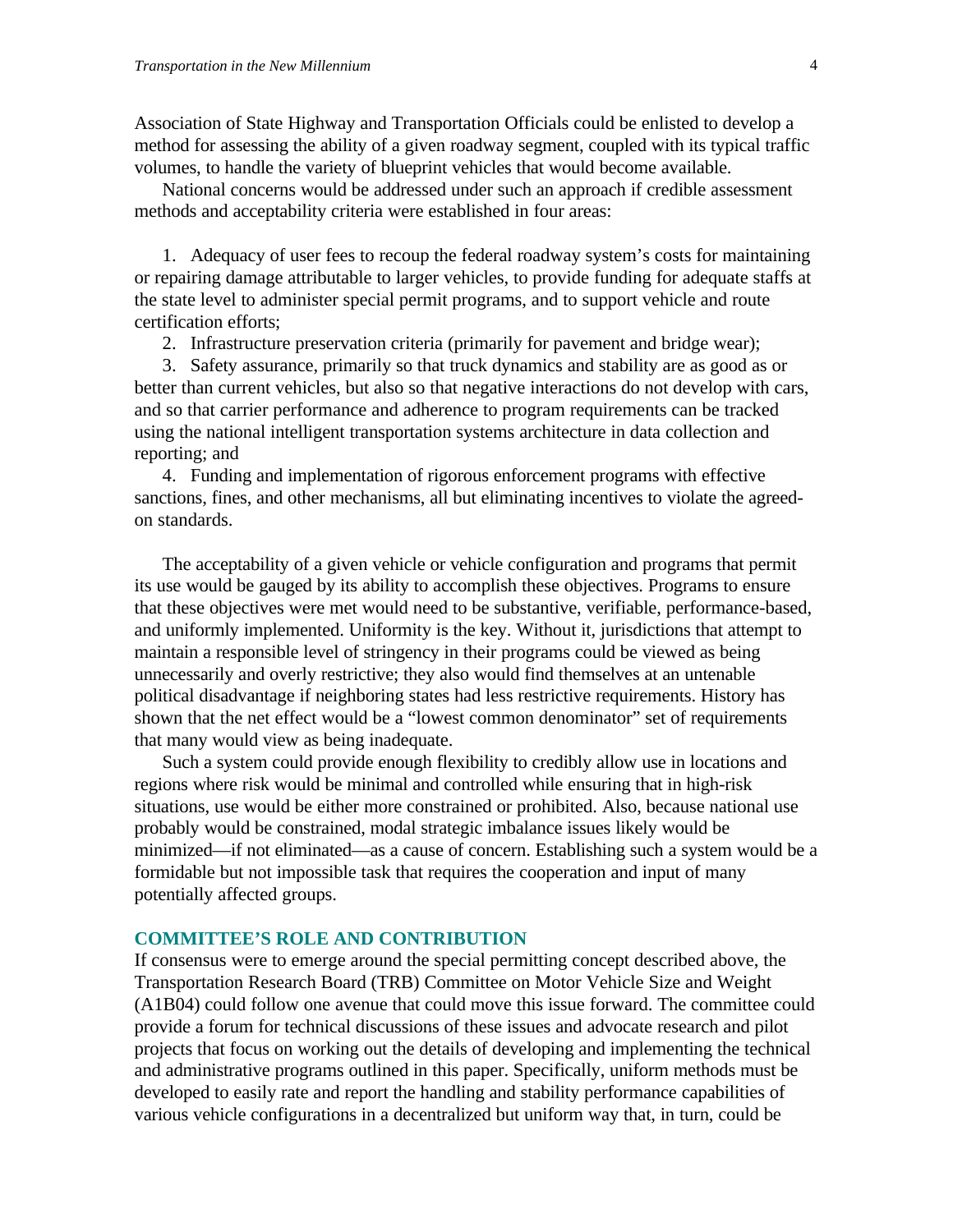Association of State Highway and Transportation Officials could be enlisted to develop a method for assessing the ability of a given roadway segment, coupled with its typical traffic volumes, to handle the variety of blueprint vehicles that would become available.

National concerns would be addressed under such an approach if credible assessment methods and acceptability criteria were established in four areas:

1. Adequacy of user fees to recoup the federal roadway system's costs for maintaining or repairing damage attributable to larger vehicles, to provide funding for adequate staffs at the state level to administer special permit programs, and to support vehicle and route certification efforts;

2. Infrastructure preservation criteria (primarily for pavement and bridge wear);

3. Safety assurance, primarily so that truck dynamics and stability are as good as or better than current vehicles, but also so that negative interactions do not develop with cars, and so that carrier performance and adherence to program requirements can be tracked using the national intelligent transportation systems architecture in data collection and reporting; and

4. Funding and implementation of rigorous enforcement programs with effective sanctions, fines, and other mechanisms, all but eliminating incentives to violate the agreedon standards.

The acceptability of a given vehicle or vehicle configuration and programs that permit its use would be gauged by its ability to accomplish these objectives. Programs to ensure that these objectives were met would need to be substantive, verifiable, performance-based, and uniformly implemented. Uniformity is the key. Without it, jurisdictions that attempt to maintain a responsible level of stringency in their programs could be viewed as being unnecessarily and overly restrictive; they also would find themselves at an untenable political disadvantage if neighboring states had less restrictive requirements. History has shown that the net effect would be a "lowest common denominator" set of requirements that many would view as being inadequate.

Such a system could provide enough flexibility to credibly allow use in locations and regions where risk would be minimal and controlled while ensuring that in high-risk situations, use would be either more constrained or prohibited. Also, because national use probably would be constrained, modal strategic imbalance issues likely would be minimized—if not eliminated—as a cause of concern. Establishing such a system would be a formidable but not impossible task that requires the cooperation and input of many potentially affected groups.

# **COMMITTEE'S ROLE AND CONTRIBUTION**

If consensus were to emerge around the special permitting concept described above, the Transportation Research Board (TRB) Committee on Motor Vehicle Size and Weight (A1B04) could follow one avenue that could move this issue forward. The committee could provide a forum for technical discussions of these issues and advocate research and pilot projects that focus on working out the details of developing and implementing the technical and administrative programs outlined in this paper. Specifically, uniform methods must be developed to easily rate and report the handling and stability performance capabilities of various vehicle configurations in a decentralized but uniform way that, in turn, could be